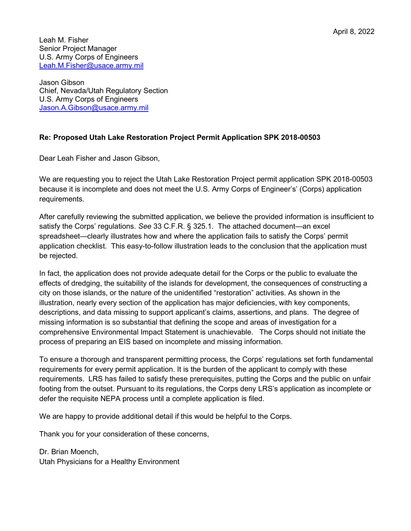Leah M. Fisher Senior Project Manager U.S. Army Corps of Engineers Leah.M.Fisher@usace.army.mil

Jason Gibson Chief, Nevada/Utah Regulatory Section U.S. Army Corps of Engineers Jason.A.Gibson@usace.army.mil

## Re: Proposed Utah Lake Restoration Project Permit Application SPK 2018-00503

Dear Leah Fisher and Jason Gibson,

We are requesting you to reject the Utah Lake Restoration Project permit application SPK 2018-00503 because it is incomplete and does not meet the U.S. Army Corps of Engineer's' (Corps) application requirements.

After carefully reviewing the submitted application, we believe the provided information is insufficient to satisfy the Corps' regulations. See 33 C.F.R. § 325.1. The attached document—an excel spreadsheet—clearly illustrates how and where the application fails to satisfy the Corps' permit application checklist. This easy-to-follow illustration leads to the conclusion that the application must be rejected.

In fact, the application does not provide adequate detail for the Corps or the public to evaluate the effects of dredging, the suitability of the islands for development, the consequences of constructing a city on those islands, or the nature of the unidentified "restoration" activities. As shown in the illustration, nearly every section of the application has major deficiencies, with key components, descriptions, and data missing to support applicant's claims, assertions, and plans. The degree of missing information is so substantial that defining the scope and areas of investigation for a comprehensive Environmental Impact Statement is unachievable. The Corps should not initiate the process of preparing an EIS based on incomplete and missing information.

To ensure a thorough and transparent permitting process, the Corps' regulations set forth fundamental requirements for every permit application. It is the burden of the applicant to comply with these requirements. LRS has failed to satisfy these prerequisites, putting the Corps and the public on unfair footing from the outset. Pursuant to its regulations, the Corps deny LRS's application as incomplete or defer the requisite NEPA process until a complete application is filed.

We are happy to provide additional detail if this would be helpful to the Corps.

Thank you for your consideration of these concerns,

Dr. Brian Moench, Utah Physicians for a Healthy Environment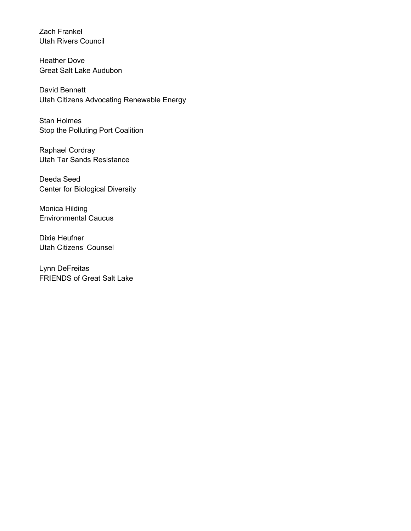Zach Frankel Utah Rivers Council

Heather Dove Great Salt Lake Audubon

David Bennett Utah Citizens Advocating Renewable Energy

Stan Holmes Stop the Polluting Port Coalition

Raphael Cordray Utah Tar Sands Resistance

Deeda Seed Center for Biological Diversity

Monica Hilding Environmental Caucus

Dixie Heufner Utah Citizens' Counsel

Lynn DeFreitas FRIENDS of Great Salt Lake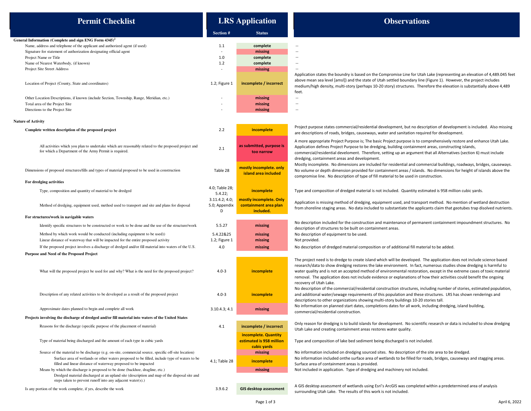| <b>Permit Checklist</b>                                                                                                                                                                                                                                                                                                                                 | <b>LRS</b> Application    |                                                                 | <b>Observations</b>                                                                                                                                                                                                                                                                                                                                                                                   |
|---------------------------------------------------------------------------------------------------------------------------------------------------------------------------------------------------------------------------------------------------------------------------------------------------------------------------------------------------------|---------------------------|-----------------------------------------------------------------|-------------------------------------------------------------------------------------------------------------------------------------------------------------------------------------------------------------------------------------------------------------------------------------------------------------------------------------------------------------------------------------------------------|
|                                                                                                                                                                                                                                                                                                                                                         | <b>Section#</b>           | <b>Status</b>                                                   |                                                                                                                                                                                                                                                                                                                                                                                                       |
| General Information (Complete and sign ENG Form 4345) <sup>2</sup>                                                                                                                                                                                                                                                                                      |                           |                                                                 |                                                                                                                                                                                                                                                                                                                                                                                                       |
| Name, address and telephone of the applicant and authorized agent (if used)                                                                                                                                                                                                                                                                             | 1.1                       | complete                                                        |                                                                                                                                                                                                                                                                                                                                                                                                       |
| Signature for statement of authorization designating official agent<br>Project Name or Title                                                                                                                                                                                                                                                            | 1.0                       | missing<br>complete                                             | $\overline{\phantom{a}}$                                                                                                                                                                                                                                                                                                                                                                              |
| Name of Nearest Waterbody, (if known)                                                                                                                                                                                                                                                                                                                   | 1.2                       | complete                                                        |                                                                                                                                                                                                                                                                                                                                                                                                       |
| Project Site Street Address                                                                                                                                                                                                                                                                                                                             |                           | missing                                                         | $\overline{\phantom{a}}$                                                                                                                                                                                                                                                                                                                                                                              |
| Location of Project (County, State and coordinates)                                                                                                                                                                                                                                                                                                     | 1.2; Figure 1             | incomplete / incorrect                                          | Application states the boundry is based on the Compromise Line for Utah Lake (representing an elevation of 4,489.045 feet<br>above mean sea level [amsl]) and the state of Utah settled boundary line (Figure 1). However, the project includes<br>medium/high density, multi-story (perhaps 10-20 story) structures. Therefore the elevation is substantially above 4,489<br>feet.                   |
| Other Location Descriptions, if known (include Section, Township, Range, Meridian, etc.)<br>Total area of the Project Site                                                                                                                                                                                                                              |                           | missing                                                         | $\sim$                                                                                                                                                                                                                                                                                                                                                                                                |
|                                                                                                                                                                                                                                                                                                                                                         |                           | missing                                                         | $\overline{\phantom{a}}$                                                                                                                                                                                                                                                                                                                                                                              |
| Directions to the Project Site                                                                                                                                                                                                                                                                                                                          |                           | missing                                                         | ц,                                                                                                                                                                                                                                                                                                                                                                                                    |
| <b>Nature of Activity</b>                                                                                                                                                                                                                                                                                                                               |                           |                                                                 |                                                                                                                                                                                                                                                                                                                                                                                                       |
| Complete written description of the proposed project                                                                                                                                                                                                                                                                                                    | 2.2                       | incomplete                                                      | Project purpose states commercial/residential development, but no description of development is included. Also missing<br>are descriptions of roads, bridges, causeways, water and sanitation required for development.                                                                                                                                                                               |
| All activities which you plan to undertake which are reasonably related to the proposed project and<br>for which a Department of the Army Permit is required.                                                                                                                                                                                           | 2.1                       | as submitted, purpose is<br>too narrow                          | A more appropriate Project Purpose is; The basic Project purpose is to comprehensively restore and enhance Utah Lake.<br>Application defines Project Purpose to be dredging, building containment areas, constructing islands,<br>commercial/residential develoment. Therefore, setting up an argument that all Alternatives (section 6) must include<br>dredging, containment areas and development. |
| Dimensions of proposed structures/fills and types of material proposed to be used in construction                                                                                                                                                                                                                                                       | Table 28                  | mostly incomplete. only<br>island area included                 | Mostly incomplete. No dimensions are included for residential and commercial buildings, roadways, bridges, causeways.<br>No volume or depth dimension provided for containment areas / islands. No dimensions for height of islands above the<br>compromise line. No description of type of fill material to be used in construction.                                                                 |
| For dredging activities                                                                                                                                                                                                                                                                                                                                 |                           |                                                                 |                                                                                                                                                                                                                                                                                                                                                                                                       |
| Type, composition and quantity of material to be dredged                                                                                                                                                                                                                                                                                                | 4.0; Table 28;<br>5.4.22; | incomplete                                                      | Type and composition of dredged material is not included. Quantity estimated is 958 million cubic yards.                                                                                                                                                                                                                                                                                              |
|                                                                                                                                                                                                                                                                                                                                                         | 3.11.4.2; 4.0;            | mostly incomplete. Only                                         |                                                                                                                                                                                                                                                                                                                                                                                                       |
| Method of dredging, equipment used, method used to transport and site and plans for disposal                                                                                                                                                                                                                                                            | 5.0; Appendix<br>D        | containment area plan<br>included.                              | Application is missing method of dredging, equipment used, and transport method. No mention of wetland destruction<br>from shoreline staging areas. No data included to substantiate the applicants claim that geotubes trap disolved nutrients.                                                                                                                                                      |
| For structures/work in navigable waters                                                                                                                                                                                                                                                                                                                 |                           |                                                                 |                                                                                                                                                                                                                                                                                                                                                                                                       |
| Identify specific structures to be constructed or work to be done and the use of the structure/work                                                                                                                                                                                                                                                     | 5.5.27                    | missing                                                         | No description included for the construction and maintenance of permanent containment impoundment structures. No                                                                                                                                                                                                                                                                                      |
| Method by which work would be conducted (including equipment to be used))                                                                                                                                                                                                                                                                               | 5.4.22&25                 |                                                                 | description of structures to be built on containment areas.                                                                                                                                                                                                                                                                                                                                           |
| Linear distance of waterway that will be impacted for the entire proposed activity                                                                                                                                                                                                                                                                      | 1.2; Figure 1             | missing<br>missing                                              | No description of equipment to be used.<br>Not provided.                                                                                                                                                                                                                                                                                                                                              |
| If the proposed project involves a discharge of dredged and/or fill material into waters of the U.S.                                                                                                                                                                                                                                                    |                           | missing                                                         | No description of dredged material composition or of additional fill material to be added.                                                                                                                                                                                                                                                                                                            |
| Purpose and Need of the Proposed Project                                                                                                                                                                                                                                                                                                                | 4.0                       |                                                                 |                                                                                                                                                                                                                                                                                                                                                                                                       |
|                                                                                                                                                                                                                                                                                                                                                         |                           |                                                                 | The project need is to dredge to create island which will be developed. The application does not include science based                                                                                                                                                                                                                                                                                |
| What will the proposed project be used for and why? What is the need for the proposed project?                                                                                                                                                                                                                                                          | $4.0 - 3$                 | incomplete                                                      | research/data to show dredging restores the lake environment. In fact, numerous studies show dredging is harmful to<br>water quality and is not an accepted method of environmental restoration, except in the extreme cases of toxic material<br>removal. The application does not include evidence or explanations of how their activities could benefit the ongoing<br>recovery of Utah Lake.      |
| Description of any related activities to be developed as a result of the proposed project                                                                                                                                                                                                                                                               | $4.0 - 3$                 | incomplete                                                      | No description of the commercial/residential construction structures, including number of stories, estimated population,<br>and additional water/sewage requirements of this population and these structures. LRS has shown renderings and<br>descriptions to other organizations showing multi-story buildings 10-20 stories tall.                                                                   |
| Approximate dates planned to begin and complete all work                                                                                                                                                                                                                                                                                                |                           | missing                                                         | No information on planned start dates, completions dates for all work, including dredging, island building,<br>commercial/residential construction.                                                                                                                                                                                                                                                   |
| Projects involving the discharge of dredged and/or fill material into waters of the United States                                                                                                                                                                                                                                                       |                           |                                                                 |                                                                                                                                                                                                                                                                                                                                                                                                       |
| Reasons for the discharge (specific purpose of the placement of material)                                                                                                                                                                                                                                                                               | 4.1                       | incomplete / incorrect                                          | Only reason for dredging is to build islands for development. No scientific research or data is included to show dredging<br>Utah Lake and creating containment areas restores water quality.                                                                                                                                                                                                         |
| Type of material being discharged and the amount of each type in cubic yards                                                                                                                                                                                                                                                                            |                           | incomplete. Quantity<br>estimated is 958 million<br>cubic yards | Type and composition of lake bed sediment being discharged is not included.                                                                                                                                                                                                                                                                                                                           |
| Source of the material to be discharge (e.g. on-site, commercial source, specific off-site location)<br>Surface area of wetlands or other waters proposed to be filled, include type of waters to be<br>filled and linear distance of waterway proposed to be impacted<br>Means by which the discharge is proposed to be done (backhoe, dragline, etc.) | 4.1; Table 28             | missing<br>incomplete<br>missing                                | No information included on dredging sourced sites. No description of the site area to be dredged.<br>No information included onthe surface area of wetlands to be filled for roads, bridges, causeways and stagging areas.<br>Surface area of containment areas is provided.<br>Not included in application. Type of dredging and machinery not included.                                             |
| Dredged material discharged at an upland site (description and map of the disposal site and<br>steps taken to prevent runoff into any adjacent water(s).)                                                                                                                                                                                               |                           |                                                                 | A GIS desktop assessment of wetlands using Esri's ArcGIS was completed within a predetermined area of analysis                                                                                                                                                                                                                                                                                        |
| Is any portion of the work complete, if yes, describe the work                                                                                                                                                                                                                                                                                          | 3.9.6.2                   | <b>GIS desktop assessment</b>                                   | surrounding Utah Lake. The results of this work is not included.                                                                                                                                                                                                                                                                                                                                      |

Page 1 of 3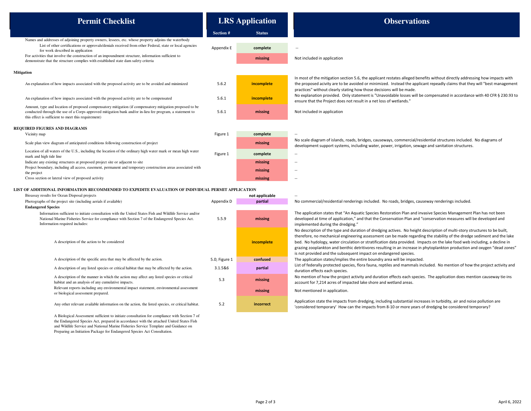| <b>Permit Checklist</b>                                                                                                                                                                                                                                                                                                                                                                                                                          | <b>LRS</b> Application |                     | <b>Observations</b>                                                                                                                                                                                                                                                                                                                                                                                                                                                                                                                                                                |  |
|--------------------------------------------------------------------------------------------------------------------------------------------------------------------------------------------------------------------------------------------------------------------------------------------------------------------------------------------------------------------------------------------------------------------------------------------------|------------------------|---------------------|------------------------------------------------------------------------------------------------------------------------------------------------------------------------------------------------------------------------------------------------------------------------------------------------------------------------------------------------------------------------------------------------------------------------------------------------------------------------------------------------------------------------------------------------------------------------------------|--|
|                                                                                                                                                                                                                                                                                                                                                                                                                                                  | Section #              | <b>Status</b>       |                                                                                                                                                                                                                                                                                                                                                                                                                                                                                                                                                                                    |  |
| Names and addresses of adjoining property owners, lessees, etc. whose property adjoins the waterbody<br>List of other certifications or approvals/denials received from other Federal, state or local agencies<br>for work described in application<br>For activities that involve the construction of an impoundment structure, information sufficient to<br>demonstrate that the structure complies with established state dam safety criteria | Appendix E             | complete<br>missing | Not included in application                                                                                                                                                                                                                                                                                                                                                                                                                                                                                                                                                        |  |
| <b>Mitigation</b>                                                                                                                                                                                                                                                                                                                                                                                                                                |                        |                     |                                                                                                                                                                                                                                                                                                                                                                                                                                                                                                                                                                                    |  |
| An explanation of how impacts associated with the proposed activity are to be avoided and minimized                                                                                                                                                                                                                                                                                                                                              | 5.6.2                  | incomplete          | In most of the mitigation section 5.6, the applicant restates alleged benefits without directly addressing how impacts with<br>the proposed acivity are to be avoided or minimized. Instead the applicant repeadly claims that they will "best management<br>practices" without clearly stating how those decisions will be made.                                                                                                                                                                                                                                                  |  |
| An explanation of how impacts associated with the proposed activity are to be compensated                                                                                                                                                                                                                                                                                                                                                        | 5.6.1                  | incomplete          | No explanation provided. Only statement is "Unavoidable losses will be compensated in accordance with 40 CFR § 230.93 to<br>ensure that the Project does not result in a net loss of wetlands."                                                                                                                                                                                                                                                                                                                                                                                    |  |
| Amount, type and location of proposed compensatory mitigation (if compensatory mitigation proposed to be<br>conducted through the use of a Corps approved mitigation bank and/or in-lieu fee program, a statement to<br>this effect is sufficient to meet this requirement)                                                                                                                                                                      | 5.6.1                  | missing             | Not included in application                                                                                                                                                                                                                                                                                                                                                                                                                                                                                                                                                        |  |
| <b>REQUIRED FIGURES AND DIAGRAMS</b>                                                                                                                                                                                                                                                                                                                                                                                                             |                        |                     |                                                                                                                                                                                                                                                                                                                                                                                                                                                                                                                                                                                    |  |
| Vicinity map                                                                                                                                                                                                                                                                                                                                                                                                                                     | Figure 1               | complete            | $\sim$                                                                                                                                                                                                                                                                                                                                                                                                                                                                                                                                                                             |  |
| Scale plan view diagram of anticipated conditions following construction of project                                                                                                                                                                                                                                                                                                                                                              |                        | missing             | No scale diagram of islands, roads, bridges, causeways, commercial/residential structures included. No diagrams of<br>development support systems, including water, power, irrigation, sewage and sanitation structures.                                                                                                                                                                                                                                                                                                                                                           |  |
| Location of all waters of the U.S., including the location of the ordinary high water mark or mean high water<br>mark and high tide line<br>Indicate any existing structures at proposed project site or adjacent to site<br>Project boundary, including all access, easement, permanent and temporary construction areas associated with<br>the project                                                                                         |                        | complete            | $\sim$                                                                                                                                                                                                                                                                                                                                                                                                                                                                                                                                                                             |  |
|                                                                                                                                                                                                                                                                                                                                                                                                                                                  |                        | missing             | $\sim$                                                                                                                                                                                                                                                                                                                                                                                                                                                                                                                                                                             |  |
|                                                                                                                                                                                                                                                                                                                                                                                                                                                  |                        | missing             | $\sim$                                                                                                                                                                                                                                                                                                                                                                                                                                                                                                                                                                             |  |
| Cross section or lateral view of proposed activity                                                                                                                                                                                                                                                                                                                                                                                               |                        | missing             | $\sim$                                                                                                                                                                                                                                                                                                                                                                                                                                                                                                                                                                             |  |
| LIST OF ADDITIONAL INFORMATION RECOMMENDED TO EXPEDITE EVALUATION OF INDIVIDUAL PERMIT APPLICATION                                                                                                                                                                                                                                                                                                                                               |                        |                     |                                                                                                                                                                                                                                                                                                                                                                                                                                                                                                                                                                                    |  |
| Bioassay results for Ocean Disposal projects                                                                                                                                                                                                                                                                                                                                                                                                     |                        | not applicable      |                                                                                                                                                                                                                                                                                                                                                                                                                                                                                                                                                                                    |  |
| Photographs of the project site (including aerials if available)                                                                                                                                                                                                                                                                                                                                                                                 | Appendix D             | partial             | No commercial/residential renderings included. No roads, bridges, causeway renderings included.                                                                                                                                                                                                                                                                                                                                                                                                                                                                                    |  |
| <b>Endangered Species</b><br>Information sufficient to initiate consultation with the United States Fish and Wildlife Service and/or<br>National Marine Fisheries Service for compliance with Section 7 of the Endangered Species Act.<br>Information required includes:                                                                                                                                                                         | 5.5.9                  | missing             | The application states that "An Aquatic Species Restoration Plan and invasive Species Management Plan has not been<br>developed at time of application," and that the Conservation Plan and "conservation measures will be developed and<br>implemented during the dredging."                                                                                                                                                                                                                                                                                                      |  |
| A description of the action to be considered                                                                                                                                                                                                                                                                                                                                                                                                     |                        | incomplete          | No description of the type and duration of dredging actives. No height description of multi-story structures to be built,<br>therefore, no mechanical engineering assessment can be made regarding the stability of the dredge sediment and the lake<br>bed. No hydology, water circulation or stratification data provided. Impacts on the lake food web including, a decline in<br>grazing zooplankton and benthic detritivores resulting in an increase in phytoplankton production and oxygen "dead zones"<br>is not provided and the subsequent impact on endangered species. |  |
| A description of the specific area that may be affected by the action.                                                                                                                                                                                                                                                                                                                                                                           | 5.0; Figure 1          | confused            | The application states/implies the entire boundry area will be impacted.                                                                                                                                                                                                                                                                                                                                                                                                                                                                                                           |  |
| A description of any listed species or critical habitat that may be affected by the action.                                                                                                                                                                                                                                                                                                                                                      | 3.1.5&6                | partial             | List of federally protected species, flora fauna, reptiles and mammals included. No mention of how the project activity and<br>duration effects each species.                                                                                                                                                                                                                                                                                                                                                                                                                      |  |
| A description of the manner in which the action may affect any listed species or critical<br>habitat and an analysis of any cumulative impacts.                                                                                                                                                                                                                                                                                                  | 5.3                    | missing             | No mention of how the project activity and duration effects each species. The application does mention causeway tie-ins<br>account for 7,214 acres of impacted lake shore and wetland areas.                                                                                                                                                                                                                                                                                                                                                                                       |  |
| Relevant reports including any environmental impact statement, environmental assessment<br>or biological assessment prepared.                                                                                                                                                                                                                                                                                                                    |                        | missing             | Not mentioned in application.                                                                                                                                                                                                                                                                                                                                                                                                                                                                                                                                                      |  |
| Any other relevant available information on the action, the listed species, or critical habitat.                                                                                                                                                                                                                                                                                                                                                 | 5.2                    | incorrect           | Application state the impacts from dredging, including substantial increases in turbidity, air and noise pollution are<br>'considered temporary' How can the impacts from 8-10 or more years of dredging be considered temporary?                                                                                                                                                                                                                                                                                                                                                  |  |
| $\lambda$ Distribution $\lambda$ . The company of $\mathbb{C}$ is the contribution of the company of $\mathbb{C}$ , and $\mathbb{C}$ and $\mathbb{C}$ and $\mathbb{C}$ and $\mathbb{C}$ and $\mathbb{C}$ and $\mathbb{C}$ and $\mathbb{C}$ and $\mathbb{C}$ and $\mathbb{C}$ and $\$                                                                                                                                                             |                        |                     |                                                                                                                                                                                                                                                                                                                                                                                                                                                                                                                                                                                    |  |

A Biological Assessment sufficient to initiate consultation for compliance with Section 7 of<br>the Endangered Species Act, prepared in accordance with the attached United States Fish<br>and Wildlife Service and National Marine